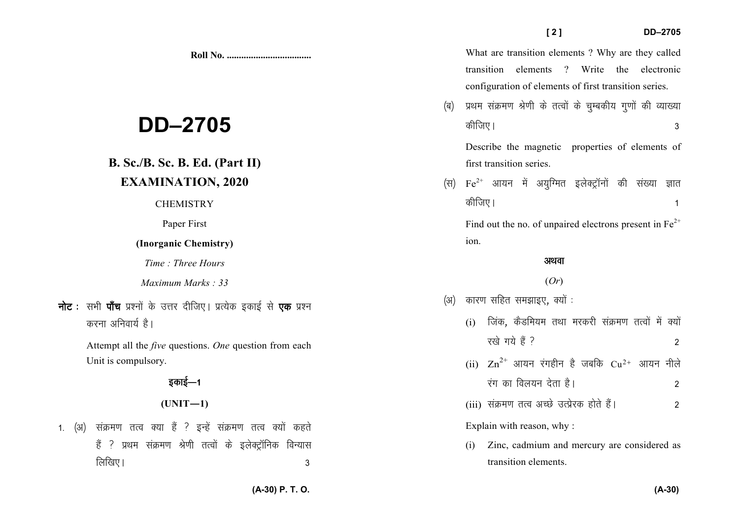**Roll No. ...................................** 

**DD–2705** 

## **B. Sc./B. Sc. B. Ed. (Part II) EXAMINATION, 2020**

#### **CHEMISTRY**

Paper First

### **(Inorganic Chemistry)**

*Time : Three Hours* 

*Maximum Marks : 33*

**नोट** : सभी **पॉच** प्रश्नों के उत्तर दीजिए। प्रत्येक इकाई से **एक** प्रश्न करना अनिवार्य है।

> Attempt all the *five* questions. *One* question from each Unit is compulsory.

## डकाई—1

### $(UNIT-1)$

1. (अ) संक्रमण तत्व क्या हैं ? इन्हें संक्रमण तत्व क्यों कहते हैं ? प्रथम संक्रमण श्रेणी तत्वों के इलेक्ट्रॉनिक विन्यास लिखिए ।  $\sim$  3

What are transition elements ? Why are they called transition elements ? Write the electronic configuration of elements of first transition series.

(ब) प्रथम संक्रमण श्रेणी के तत्वों के चुम्बकीय गुणों की व्याख्या dhft,A 3

Describe the magnetic properties of elements of first transition series.

(स)  $Fe^{2+}$  आयन में अयुग्मित इलेक्ट्रॉनों की संख्या ज्ञात कीजिए ।  $\sim$  1

Find out the no. of unpaired electrons present in  $Fe^{2+}$ ion.

#### अथवा

### (*Or*)

- (अ) कारण सहित समझाइए, क्यों :
	- $(i)$  जिंक, कैडमियम तथा मरकरी संक्रमण तत्वों में क्यों  $\vec{y}$ रखे गये हैं ?
	- (ii)  $\rm Zn^{2+}$  आयन रंगहीन है जबकि  $\rm Cu^{2+}$  आयन नीले  $\frac{1}{3}$ रंग का विलयन देता है।  $\frac{1}{3}$
	- (iii) laØe.k rRo vPNs mRizsjd gksrs gSaA 2

Explain with reason, why :

(i) Zinc, cadmium and mercury are considered as transition elements.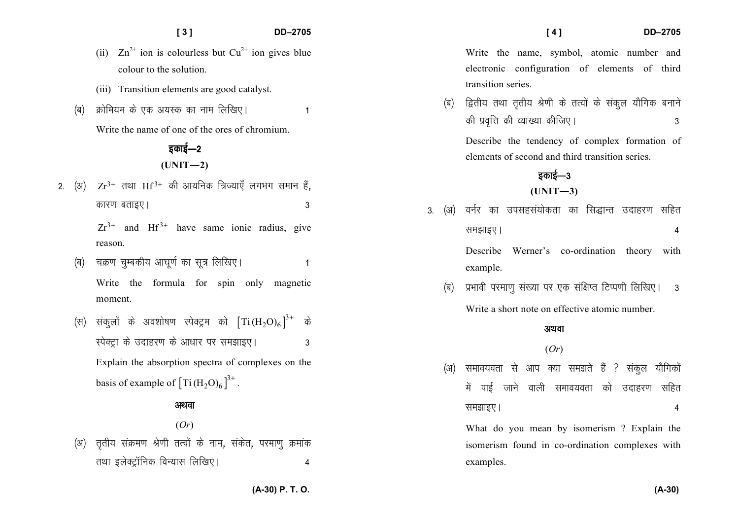|            |          | [3]                                                                                                                                                    | DD-2705        | [4]<br>DD-2705                                                                                                                                                                                      |  |  |  |
|------------|----------|--------------------------------------------------------------------------------------------------------------------------------------------------------|----------------|-----------------------------------------------------------------------------------------------------------------------------------------------------------------------------------------------------|--|--|--|
| (ब)        |          | (ii) $\text{Zn}^{2+}$ ion is colourless but $\text{Cu}^{2+}$ ion gives blue<br>colour to the solution.<br>(iii) Transition elements are good catalyst. |                | Write the name, symbol, atomic number and<br>electronic configuration of elements of third<br>transition series.                                                                                    |  |  |  |
|            |          | क्रोमियम के एक अयस्क का नाम लिखिए।<br>Write the name of one of the ores of chromium.<br>इकाई—2                                                         | (ब)            | द्वितीय तथा तृतीय श्रेणी के तत्वों के संकुल यौगिक बनाने<br>की प्रवृत्ति की व्याख्या कीजिए।<br>3<br>Describe the tendency of complex formation of<br>elements of second and third transition series. |  |  |  |
|            | $2.$ (3) | $(UNIT-2)$<br>$Zr^{3+}$ तथा Hf <sup>3+</sup> की आयनिक त्रिज्याएँ लगभग समान हैं,                                                                        |                | इकाई—3<br>$(UNIT-3)$                                                                                                                                                                                |  |  |  |
| (ब)<br>(स) |          | कारण बताइए।<br>$Zr^{3+}$ and Hf <sup>3+</sup> have same ionic radius, give                                                                             | 3<br>(3)<br>3. | वर्नर का उपसहसंयोकता का सिद्धान्त उदाहरण सहित<br>समझाइए।<br>4                                                                                                                                       |  |  |  |
|            |          | reason.<br>चक्रण चुम्बकीय आघूर्ण का सूत्र लिखिए।<br>Write the formula for spin only magnetic                                                           |                | Describe Werner's co-ordination theory<br>with<br>example.<br>प्रभावी परमाणु संख्या पर एक संक्षिप्त टिप्पणी लिखिए।                                                                                  |  |  |  |
|            |          | moment.<br>संकुलों के अवशोषण स्पेक्ट्रम को $[\text{Ti}(\text{H}_2\text{O})_6]^3$ + के                                                                  | (ৰ)            | $\overline{\phantom{a}}$ 3<br>Write a short note on effective atomic number.<br>अथवा                                                                                                                |  |  |  |
|            |          | स्पेक्ट्रा के उदाहरण के आधार पर समझाइए।<br>Explain the absorption spectra of complexes on the                                                          | 3<br>(3)       | (Or)<br>समावयवता से आप क्या समझते हैं ? संकुल यौगिकों                                                                                                                                               |  |  |  |
|            |          | basis of example of $\left[\text{Ti}(\text{H}_2\text{O})_6\right]^{3+}$ .                                                                              |                | पाई जाने वाली समावयवता को<br>में<br>सहित<br>उदाहरण                                                                                                                                                  |  |  |  |

#### अथवा

(*Or*) (अ) तृतीय संक्रमण श्रेणी तत्वों के नाम, संकेत, परमाणु क्रमांक

तथा इलेक्ट्रॉनिक विन्यास लिखिए। 4

**(A-30) P. T. O.**

समझाइए ।  $\overline{a}$ 

What do you mean by isomerism ? Explain the

isomerism found in co-ordination complexes with

examples.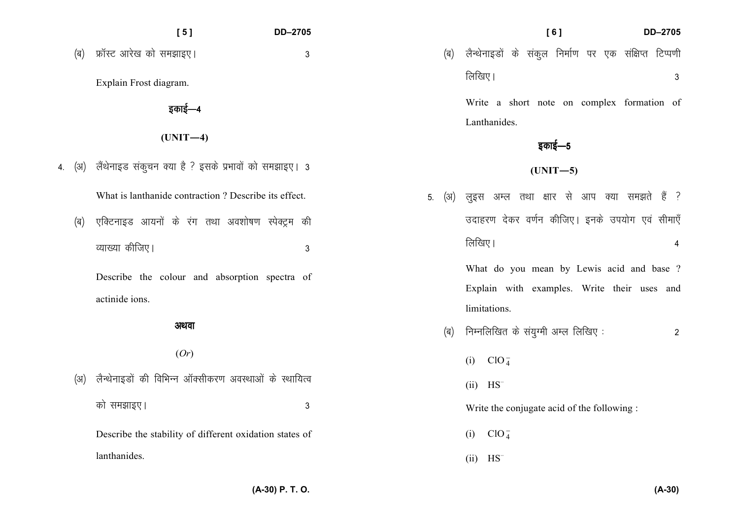| <b>DD-2705</b> |                                                           |  | <b>DD-2705</b> |  |  |
|----------------|-----------------------------------------------------------|--|----------------|--|--|
| 3              | (ब) लैन्थेनाइडों के संकुल निर्माण पर एक संक्षिप्त टिप्पणी |  |                |  |  |
|                | लिखिए।                                                    |  |                |  |  |
|                | Write a short note on complex formation of                |  |                |  |  |

Lanthanides.

**(UNIT—4)** 

इकाई—4

 $[5]$ 

(ब) फ्रॉस्ट आरेख को समझाइए।

Explain Frost diagram.

4. (अ) लैंथेनाइड संकुचन क्या है ? इसके प्रभावों को समझाइए। 3

What is lanthanide contraction ? Describe its effect.

(ब) एक्टिनाइड आयनों के रंग तथा अवशोषण स्पेक्ट्रम की  $\alpha$ ] व्याख्या कीजिए |  $\alpha$  3

Describe the colour and absorption spectra of actinide ions.

#### अथवा

#### (*Or*)

| (अ) लैन्थेनाइडों की विभिन्न ऑक्सीकरण अवस्थाओं के स्थायित्व |   |
|------------------------------------------------------------|---|
| को समझाइए।                                                 | 3 |
| Describe the stability of different oxidation states of    |   |
| lanthanides.                                               |   |

|  |        |  |  |  | 5. (अ) लुइस अम्ल तथा क्षार से आप क्या समझते हैं ? |  |
|--|--------|--|--|--|---------------------------------------------------|--|
|  |        |  |  |  | उदाहरण देकर वर्णन कीजिए। इनके उपयोग एवं सीमाएँ    |  |
|  | लिखिए। |  |  |  |                                                   |  |

इकाई—5

**(UNIT—5)** 

What do you mean by Lewis acid and base ? Explain with examples. Write their uses and limitations.

- ¼c½ fuEufyf[kr ds la;qXeh vEy fyf[k, % 2
	- (i)  $CIO_4^-$
	- $(ii)$  HS<sup>–</sup>

Write the conjugate acid of the following :

- (i)  $ClO_4^-$
- $(ii)$  HS<sup>-</sup>